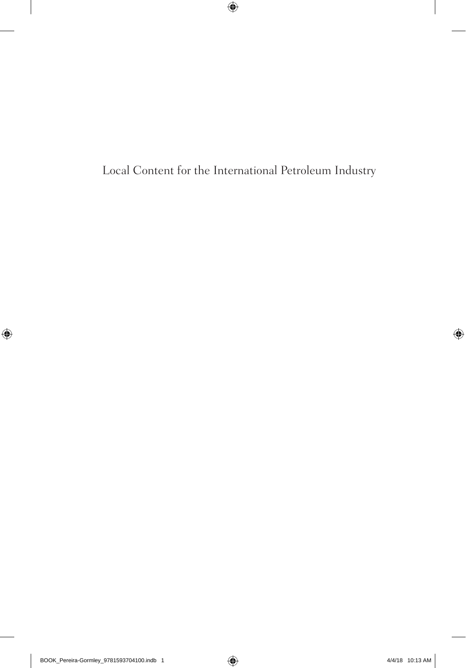Local Content for the International Petroleum Industry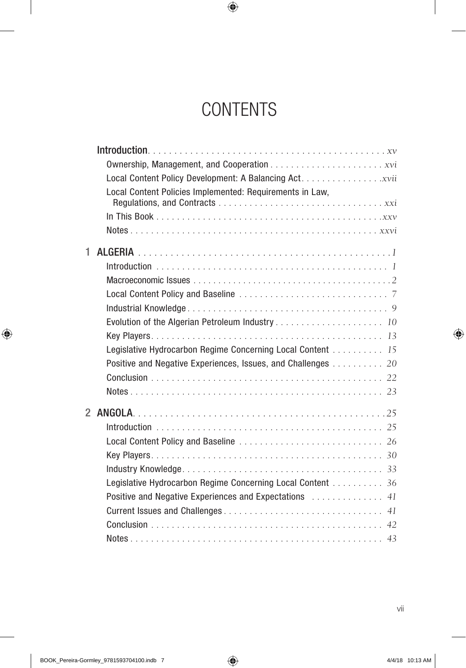# **CONTENTS**

|                | Local Content Policies Implemented: Requirements in Law,      |
|----------------|---------------------------------------------------------------|
|                |                                                               |
|                |                                                               |
| 1              |                                                               |
|                |                                                               |
|                |                                                               |
|                |                                                               |
|                |                                                               |
|                |                                                               |
|                |                                                               |
|                | Legislative Hydrocarbon Regime Concerning Local Content 15    |
|                | Positive and Negative Experiences, Issues, and Challenges  20 |
|                |                                                               |
|                |                                                               |
| $\overline{2}$ |                                                               |
|                |                                                               |
|                |                                                               |
|                |                                                               |
|                |                                                               |
|                | Legislative Hydrocarbon Regime Concerning Local Content 36    |
|                | Positive and Negative Experiences and Expectations  41        |
|                |                                                               |
|                |                                                               |
|                |                                                               |
|                |                                                               |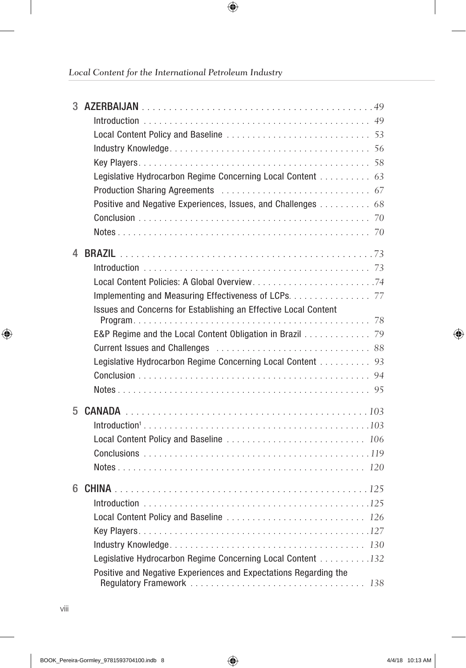|    | Legislative Hydrocarbon Regime Concerning Local Content 63                                                                      |
|----|---------------------------------------------------------------------------------------------------------------------------------|
|    |                                                                                                                                 |
|    | Positive and Negative Experiences, Issues, and Challenges  68                                                                   |
|    |                                                                                                                                 |
|    |                                                                                                                                 |
| 4  |                                                                                                                                 |
|    |                                                                                                                                 |
|    | Local Content Policies: A Global Overview74                                                                                     |
|    | Implementing and Measuring Effectiveness of LCPs. 77                                                                            |
|    | Issues and Concerns for Establishing an Effective Local Content                                                                 |
|    |                                                                                                                                 |
|    | E&P Regime and the Local Content Obligation in Brazil 79                                                                        |
|    |                                                                                                                                 |
|    | Legislative Hydrocarbon Regime Concerning Local Content 93                                                                      |
|    |                                                                                                                                 |
|    |                                                                                                                                 |
| 5  |                                                                                                                                 |
|    |                                                                                                                                 |
|    |                                                                                                                                 |
|    |                                                                                                                                 |
|    |                                                                                                                                 |
|    |                                                                                                                                 |
| 6. |                                                                                                                                 |
|    |                                                                                                                                 |
|    | Local Content Policy and Baseline  126                                                                                          |
|    |                                                                                                                                 |
|    |                                                                                                                                 |
|    | Legislative Hydrocarbon Regime Concerning Local Content 132<br>Positive and Negative Experiences and Expectations Regarding the |
|    |                                                                                                                                 |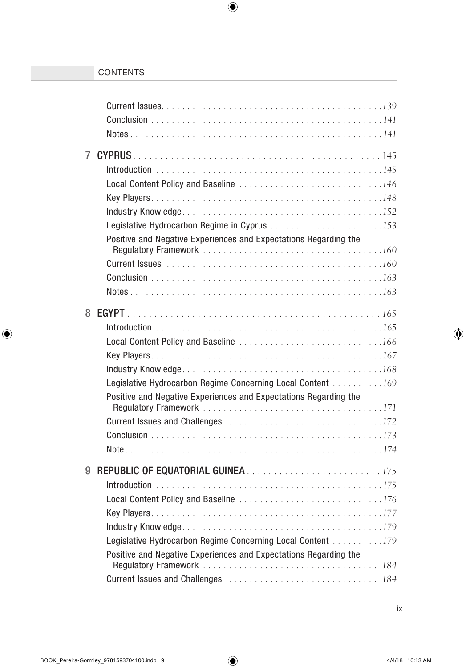| $\overline{7}$ |                                                                  |
|----------------|------------------------------------------------------------------|
|                |                                                                  |
|                | Local Content Policy and Baseline 146                            |
|                |                                                                  |
|                |                                                                  |
|                |                                                                  |
|                | Positive and Negative Experiences and Expectations Regarding the |
|                |                                                                  |
|                |                                                                  |
|                |                                                                  |
|                |                                                                  |
| 8              |                                                                  |
|                |                                                                  |
|                |                                                                  |
|                |                                                                  |
|                |                                                                  |
|                | Legislative Hydrocarbon Regime Concerning Local Content 169      |
|                | Positive and Negative Experiences and Expectations Regarding the |
|                |                                                                  |
|                |                                                                  |
|                |                                                                  |
|                |                                                                  |
| 9              |                                                                  |
|                |                                                                  |
|                |                                                                  |
|                |                                                                  |
|                |                                                                  |
|                | Legislative Hydrocarbon Regime Concerning Local Content 179      |
|                | Positive and Negative Experiences and Expectations Regarding the |
|                | Current Issues and Challenges  184                               |
|                |                                                                  |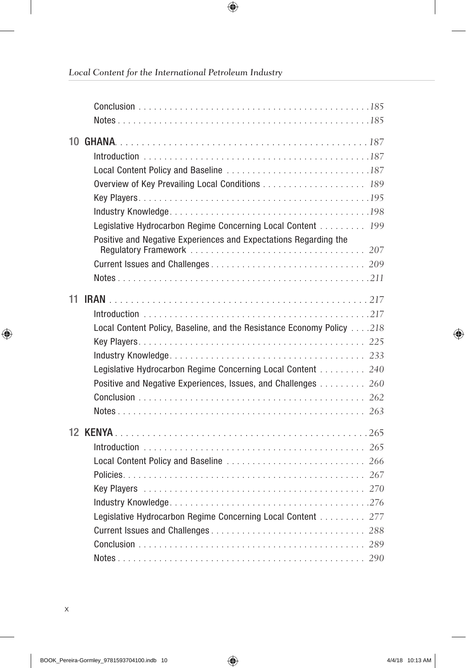|  | Legislative Hydrocarbon Regime Concerning Local Content 199           |  |
|--|-----------------------------------------------------------------------|--|
|  | Positive and Negative Experiences and Expectations Regarding the      |  |
|  |                                                                       |  |
|  |                                                                       |  |
|  |                                                                       |  |
|  |                                                                       |  |
|  |                                                                       |  |
|  | Local Content Policy, Baseline, and the Resistance Economy Policy 218 |  |
|  |                                                                       |  |
|  |                                                                       |  |
|  | Legislative Hydrocarbon Regime Concerning Local Content 240           |  |
|  | Positive and Negative Experiences, Issues, and Challenges  260        |  |
|  |                                                                       |  |
|  |                                                                       |  |
|  |                                                                       |  |
|  |                                                                       |  |
|  |                                                                       |  |
|  |                                                                       |  |
|  |                                                                       |  |
|  |                                                                       |  |
|  | Legislative Hydrocarbon Regime Concerning Local Content  277          |  |
|  |                                                                       |  |
|  |                                                                       |  |
|  |                                                                       |  |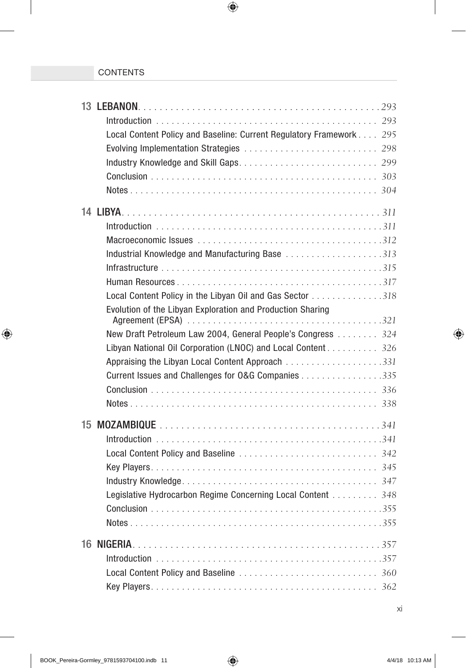| Local Content Policy and Baseline: Current Regulatory Framework 295 |
|---------------------------------------------------------------------|
|                                                                     |
|                                                                     |
|                                                                     |
|                                                                     |
|                                                                     |
|                                                                     |
|                                                                     |
| Industrial Knowledge and Manufacturing Base 313                     |
|                                                                     |
|                                                                     |
| Local Content Policy in the Libyan Oil and Gas Sector 318           |
| Evolution of the Libyan Exploration and Production Sharing          |
| New Draft Petroleum Law 2004, General People's Congress  324        |
| Libyan National Oil Corporation (LNOC) and Local Content 326        |
|                                                                     |
| Current Issues and Challenges for O&G Companies 335                 |
|                                                                     |
|                                                                     |
|                                                                     |
|                                                                     |
|                                                                     |
|                                                                     |
|                                                                     |
| Legislative Hydrocarbon Regime Concerning Local Content 348         |
|                                                                     |
|                                                                     |
|                                                                     |
|                                                                     |
|                                                                     |
|                                                                     |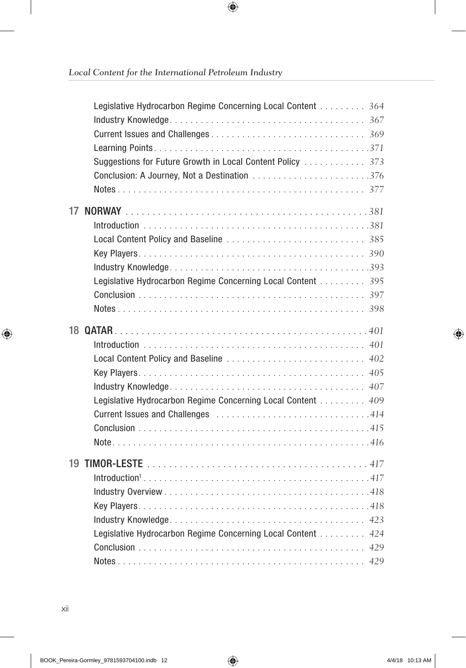| Legislative Hydrocarbon Regime Concerning Local Content 364<br>Suggestions for Future Growth in Local Content Policy  373<br>Conclusion: A Journey, Not a Destination 376 |  |
|---------------------------------------------------------------------------------------------------------------------------------------------------------------------------|--|
| Legislative Hydrocarbon Regime Concerning Local Content 395                                                                                                               |  |
| Local Content Policy and Baseline  402<br>Legislative Hydrocarbon Regime Concerning Local Content 409                                                                     |  |
| Legislative Hydrocarbon Regime Concerning Local Content 424                                                                                                               |  |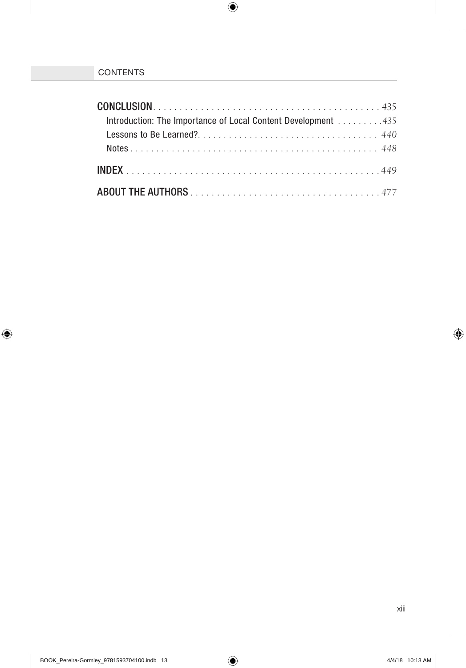| Introduction: The Importance of Local Content Development 435 |  |
|---------------------------------------------------------------|--|
|                                                               |  |
|                                                               |  |
|                                                               |  |
|                                                               |  |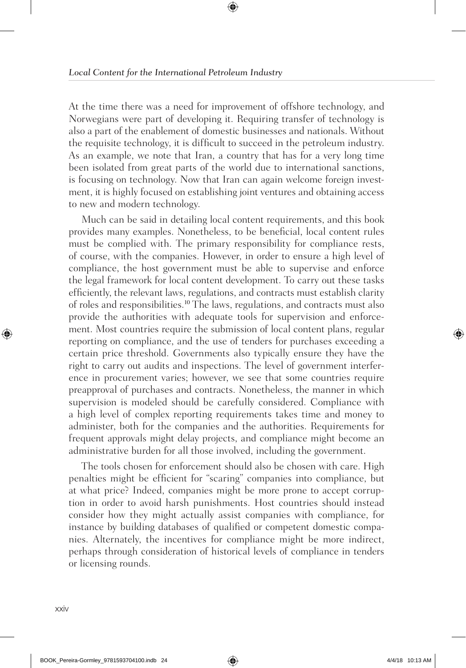At the time there was a need for improvement of offshore technology, and Norwegians were part of developing it. Requiring transfer of technology is also a part of the enablement of domestic businesses and nationals. Without the requisite technology, it is difficult to succeed in the petroleum industry. As an example, we note that Iran, a country that has for a very long time been isolated from great parts of the world due to international sanctions, is focusing on technology. Now that Iran can again welcome foreign investment, it is highly focused on establishing joint ventures and obtaining access to new and modern technology.

Much can be said in detailing local content requirements, and this book provides many examples. Nonetheless, to be beneficial, local content rules must be complied with. The primary responsibility for compliance rests, of course, with the companies. However, in order to ensure a high level of compliance, the host government must be able to supervise and enforce the legal framework for local content development. To carry out these tasks efficiently, the relevant laws, regulations, and contracts must establish clarity of roles and responsibilities.<sup>10</sup> The laws, regulations, and contracts must also provide the authorities with adequate tools for supervision and enforcement. Most countries require the submission of local content plans, regular reporting on compliance, and the use of tenders for purchases exceeding a certain price threshold. Governments also typically ensure they have the right to carry out audits and inspections. The level of government interference in procurement varies; however, we see that some countries require preapproval of purchases and contracts. Nonetheless, the manner in which supervision is modeled should be carefully considered. Compliance with a high level of complex reporting requirements takes time and money to administer, both for the companies and the authorities. Requirements for frequent approvals might delay projects, and compliance might become an administrative burden for all those involved, including the government.

The tools chosen for enforcement should also be chosen with care. High penalties might be efficient for "scaring" companies into compliance, but at what price? Indeed, companies might be more prone to accept corruption in order to avoid harsh punishments. Host countries should instead consider how they might actually assist companies with compliance, for instance by building databases of qualified or competent domestic companies. Alternately, the incentives for compliance might be more indirect, perhaps through consideration of historical levels of compliance in tenders or licensing rounds.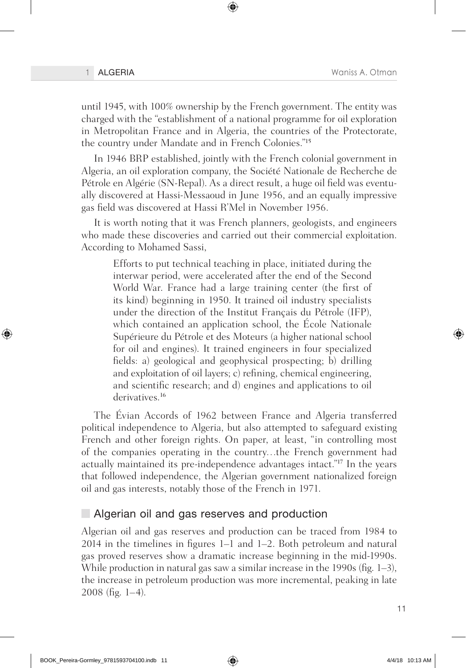until 1945, with 100% ownership by the French government. The entity was charged with the "establishment of a national programme for oil exploration in Metropolitan France and in Algeria, the countries of the Protectorate, the country under Mandate and in French Colonies."<sup>15</sup>

In 1946 BRP established, jointly with the French colonial government in Algeria, an oil exploration company, the Société Nationale de Recherche de Pétrole en Algérie (SN-Repal). As a direct result, a huge oil field was eventually discovered at Hassi-Messaoud in June 1956, and an equally impressive gas field was discovered at Hassi R'Mel in November 1956.

It is worth noting that it was French planners, geologists, and engineers who made these discoveries and carried out their commercial exploitation. According to Mohamed Sassi,

Efforts to put technical teaching in place, initiated during the interwar period, were accelerated after the end of the Second World War. France had a large training center (the first of its kind) beginning in 1950. It trained oil industry specialists under the direction of the Institut Français du Pétrole (IFP), which contained an application school, the École Nationale Supérieure du Pétrole et des Moteurs (a higher national school for oil and engines). It trained engineers in four specialized fields: a) geological and geophysical prospecting; b) drilling and exploitation of oil layers; c) refining, chemical engineering, and scientific research; and d) engines and applications to oil derivatives.<sup>16</sup>

The Évian Accords of 1962 between France and Algeria transferred political independence to Algeria, but also attempted to safeguard existing French and other foreign rights. On paper, at least, "in controlling most of the companies operating in the country…the French government had actually maintained its pre-independence advantages intact."<sup>17</sup> In the years that followed independence, the Algerian government nationalized foreign oil and gas interests, notably those of the French in 1971.

#### Algerian oil and gas reserves and production

Algerian oil and gas reserves and production can be traced from 1984 to 2014 in the timelines in figures 1–1 and 1–2. Both petroleum and natural gas proved reserves show a dramatic increase beginning in the mid-1990s. While production in natural gas saw a similar increase in the 1990s (fig. 1–3), the increase in petroleum production was more incremental, peaking in late  $2008$  (fig. 1–4).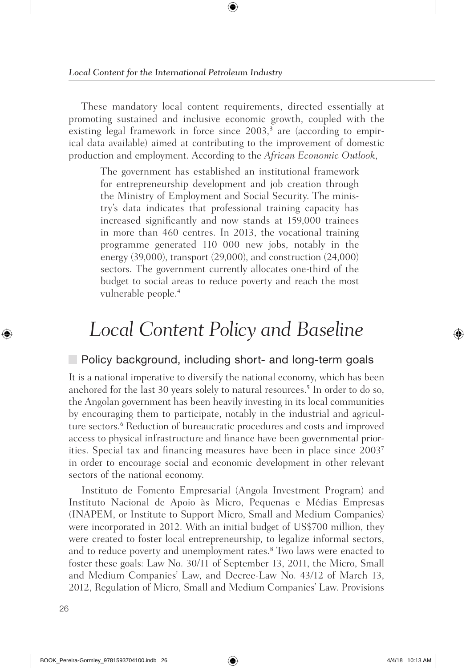These mandatory local content requirements, directed essentially at promoting sustained and inclusive economic growth, coupled with the existing legal framework in force since 2003,<sup>3</sup> are (according to empirical data available) aimed at contributing to the improvement of domestic production and employment. According to the *African Economic Outlook*,

The government has established an institutional framework for entrepreneurship development and job creation through the Ministry of Employment and Social Security. The ministry's data indicates that professional training capacity has increased significantly and now stands at 159,000 trainees in more than 460 centres. In 2013, the vocational training programme generated 110 000 new jobs, notably in the energy (39,000), transport (29,000), and construction (24,000) sectors. The government currently allocates one-third of the budget to social areas to reduce poverty and reach the most vulnerable people.<sup>4</sup>

## *Local Content Policy and Baseline*

### **Policy background, including short- and long-term goals**

It is a national imperative to diversify the national economy, which has been anchored for the last 30 years solely to natural resources.<sup>5</sup> In order to do so, the Angolan government has been heavily investing in its local communities by encouraging them to participate, notably in the industrial and agriculture sectors.<sup>6</sup> Reduction of bureaucratic procedures and costs and improved access to physical infrastructure and finance have been governmental priorities. Special tax and financing measures have been in place since 2003<sup>7</sup> in order to encourage social and economic development in other relevant sectors of the national economy.

Instituto de Fomento Empresarial (Angola Investment Program) and Instituto Nacional de Apoio às Micro, Pequenas e Médias Empresas (INAPEM, or Institute to Support Micro, Small and Medium Companies) were incorporated in 2012. With an initial budget of US\$700 million, they were created to foster local entrepreneurship, to legalize informal sectors, and to reduce poverty and unemployment rates.<sup>8</sup> Two laws were enacted to foster these goals: Law No. 30/11 of September 13, 2011, the Micro, Small and Medium Companies' Law, and Decree-Law No. 43/12 of March 13, 2012, Regulation of Micro, Small and Medium Companies' Law. Provisions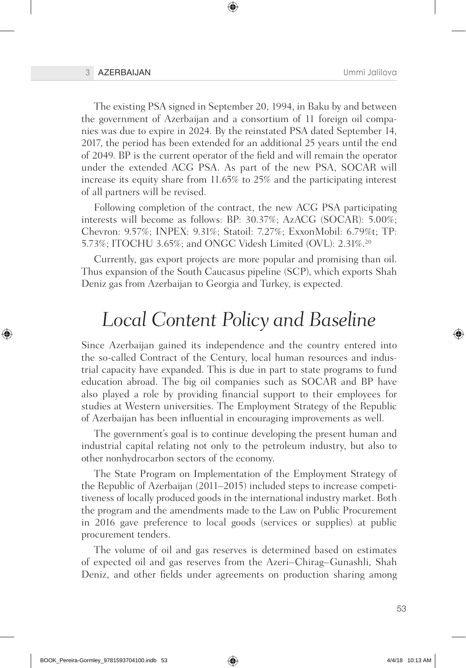The existing PSA signed in September 20, 1994, in Baku by and between the government of Azerbaijan and a consortium of 11 foreign oil companies was due to expire in 2024. By the reinstated PSA dated September 14, 2017, the period has been extended for an additional 25 years until the end of 2049. BP is the current operator of the field and will remain the operator under the extended ACG PSA. As part of the new PSA, SOCAR will increase its equity share from 11.65% to 25% and the participating interest of all partners will be revised.

Following completion of the contract, the new ACG PSA participating interests will become as follows: BP: 30.37%; AzACG (SOCAR): 5.00%; Chevron: 9.57%; INPEX: 9.31%; Statoil: 7.27%; ExxonMobil: 6.79%t; TP: 5.73%; ITOCHU 3.65%; and ONGC Videsh Limited (OVL): 2.31%.20

Currently, gas export projects are more popular and promising than oil. Thus expansion of the South Caucasus pipeline (SCP), which exports Shah Deniz gas from Azerbaijan to Georgia and Turkey, is expected.

### *Local Content Policy and Baseline*

Since Azerbaijan gained its independence and the country entered into the so-called Contract of the Century, local human resources and industrial capacity have expanded. This is due in part to state programs to fund education abroad. The big oil companies such as SOCAR and BP have also played a role by providing financial support to their employees for studies at Western universities. The Employment Strategy of the Republic of Azerbaijan has been influential in encouraging improvements as well.

The government's goal is to continue developing the present human and industrial capital relating not only to the petroleum industry, but also to other nonhydrocarbon sectors of the economy.

The State Program on Implementation of the Employment Strategy of the Republic of Azerbaijan (2011–2015) included steps to increase competitiveness of locally produced goods in the international industry market. Both the program and the amendments made to the Law on Public Procurement in 2016 gave preference to local goods (services or supplies) at public procurement tenders.

The volume of oil and gas reserves is determined based on estimates of expected oil and gas reserves from the Azeri–Chirag–Gunashli, Shah Deniz, and other fields under agreements on production sharing among